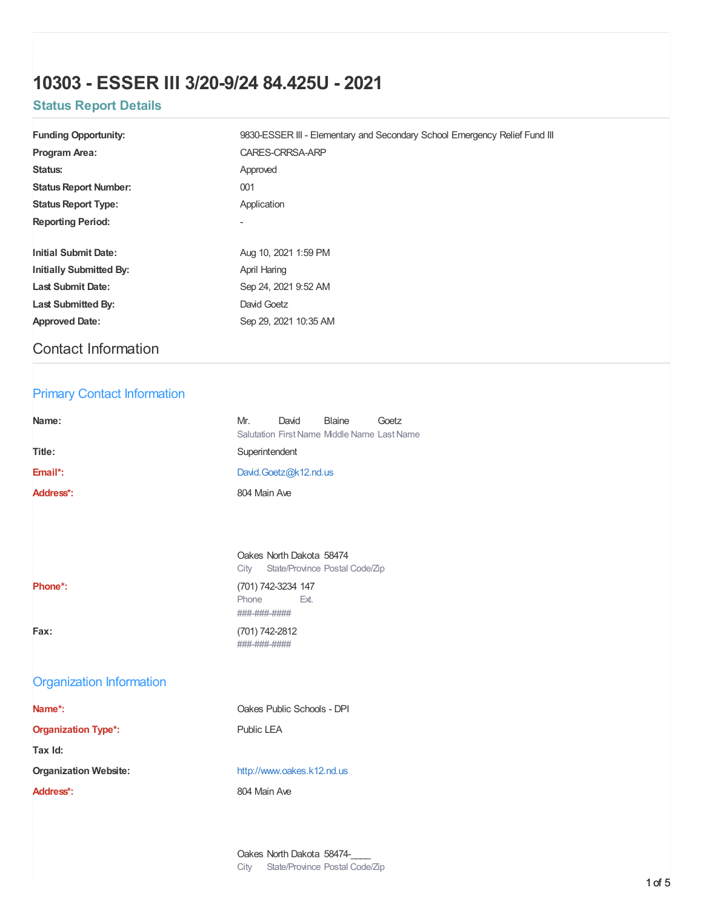# **10303 - ESSER III 3/20-9/24 84.425U - 2021**

## **Status Report Details**

| <b>Funding Opportunity:</b>    | 9830-ESSER III - Elementary and Secondary School Emergency Relief Fund III |  |  |
|--------------------------------|----------------------------------------------------------------------------|--|--|
| <b>Program Area:</b>           | CARES-CRRSA-ARP                                                            |  |  |
| Status:                        | Approved                                                                   |  |  |
| <b>Status Report Number:</b>   | 001                                                                        |  |  |
| <b>Status Report Type:</b>     | Application                                                                |  |  |
| <b>Reporting Period:</b>       |                                                                            |  |  |
|                                |                                                                            |  |  |
| <b>Initial Submit Date:</b>    | Aug 10, 2021 1:59 PM                                                       |  |  |
| <b>Initially Submitted By:</b> | April Haring                                                               |  |  |
| <b>Last Submit Date:</b>       | Sep 24, 2021 9:52 AM                                                       |  |  |
| <b>Last Submitted By:</b>      | David Goetz                                                                |  |  |
| <b>Approved Date:</b>          | Sep 29, 2021 10:35 AM                                                      |  |  |
| <b>Contact Information</b>     |                                                                            |  |  |

### Primary Contact Information

| Name:                           | Mr.<br>David<br>Blaine<br>Goetz<br>Salutation First Name Middle Name Last Name |
|---------------------------------|--------------------------------------------------------------------------------|
| Title:                          | Superintendent                                                                 |
| Email*:                         | David.Goetz@k12.nd.us                                                          |
| Address*:                       | 804 Main Ave                                                                   |
|                                 |                                                                                |
|                                 |                                                                                |
|                                 | Oakes North Dakota 58474<br>City<br>State/Province Postal Code/Zip             |
| Phone*:                         | (701) 742-3234 147<br>Phone<br>Fxt.<br>###-###-####                            |
| Fax:                            | (701) 742-2812<br>###-###-####                                                 |
| <b>Organization Information</b> |                                                                                |
| Name*:                          | Oakes Public Schools - DPI                                                     |
| <b>Organization Type*:</b>      | Public LEA                                                                     |
| Tax Id:                         |                                                                                |
| <b>Organization Website:</b>    | http://www.oakes.k12.nd.us                                                     |
| Address*:                       | 804 Main Ave                                                                   |
|                                 |                                                                                |
|                                 |                                                                                |

Oakes North Dakota 58474-City State/Province Postal Code/Zip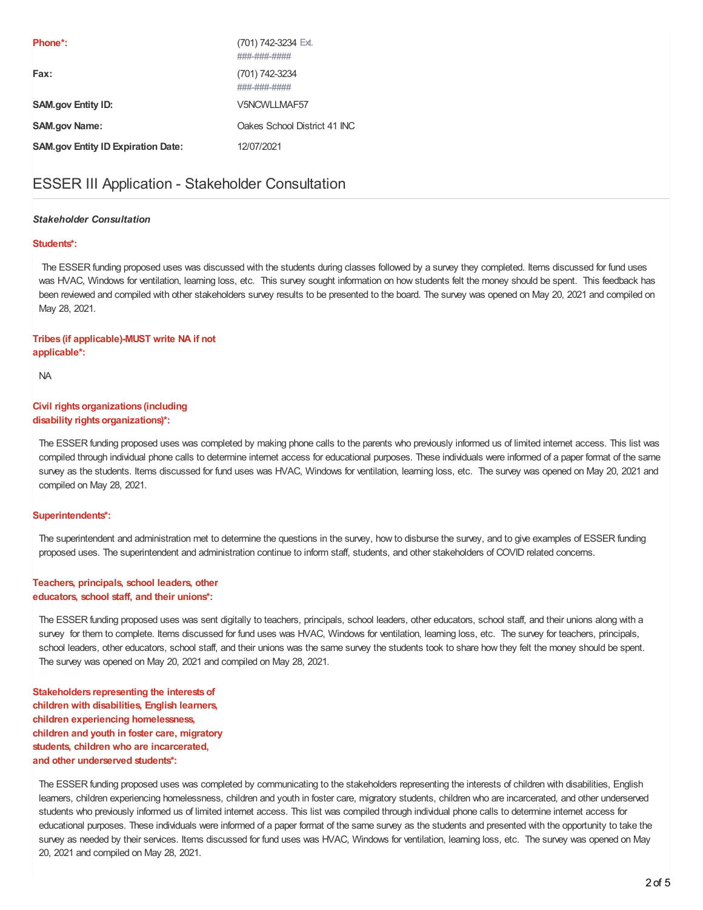| Phone <sup>*</sup> :                      | (701) 742-3234 Ext.<br>###-###-#### |
|-------------------------------------------|-------------------------------------|
| Fax:                                      | (701) 742-3234<br>###-###-####      |
| <b>SAM.gov Entity ID:</b>                 | V5NCWLIMAE57                        |
| <b>SAM.gov Name:</b>                      | Oakes School District 41 INC        |
| <b>SAM.gov Entity ID Expiration Date:</b> | 12/07/2021                          |

### ESSER III Application - Stakeholder Consultation

#### *Stakeholder Consultation*

#### **Students\*:**

The ESSER funding proposed uses was discussed with the students during classes followed by a survey they completed. Items discussed for fund uses was HVAC, Windows for ventilation, learning loss, etc. This survey sought information on how students felt the money should be spent. This feedback has been reviewed and compiled with other stakeholders survey results to be presented to the board. The survey was opened on May 20, 2021 and compiled on May 28, 2021.

#### **Tribes (if applicable)-MUST write NA if not applicable\*:**

NA

#### **Civil rights organizations (including disability rights organizations)\*:**

The ESSER funding proposed uses was completed by making phone calls to the parents who previously informed us of limited internet access. This list was compiled through individual phone calls to determine internet access for educational purposes. These individuals were informed of a paper format of the same survey as the students. Items discussed for fund uses was HVAC, Windows for ventilation, learning loss, etc. The survey was opened on May 20, 2021 and compiled on May 28, 2021.

#### **Superintendents\*:**

The superintendent and administration met to determine the questions in the survey, how to disburse the survey, and to give examples of ESSER funding proposed uses. The superintendent and administration continue to inform staff, students, and other stakeholders of COVID related concerns.

#### **Teachers, principals, school leaders, other educators, school staff, and their unions\*:**

The ESSER funding proposed uses was sent digitally to teachers, principals, school leaders, other educators, school staff, and their unions along with a survey for them to complete. Items discussed for fund uses was HVAC, Windows for ventilation, learning loss, etc. The survey for teachers, principals, school leaders, other educators, school staff, and their unions was the same survey the students took to share how they felt the money should be spent. The survey was opened on May 20, 2021 and compiled on May 28, 2021.

**Stakeholders representing the interestsof children with disabilities, English learners, children experiencing homelessness, children and youth in foster care, migratory students, children who are incarcerated, and other underserved students\*:**

The ESSER funding proposed uses was completed by communicating to the stakeholders representing the interests of children with disabilities, English learners, children experiencing homelessness, children and youth in foster care, migratory students, children who are incarcerated, and other underserved students who previously informed us of limited internet access. This list was compiled through individual phone calls to determine internet access for educational purposes. These individuals were informed of a paper format of the same survey as the students and presented with the opportunity to take the survey as needed by their services. Items discussed for fund uses was HVAC, Windows for ventilation, learning loss, etc. The survey was opened on May 20, 2021 and compiled on May 28, 2021.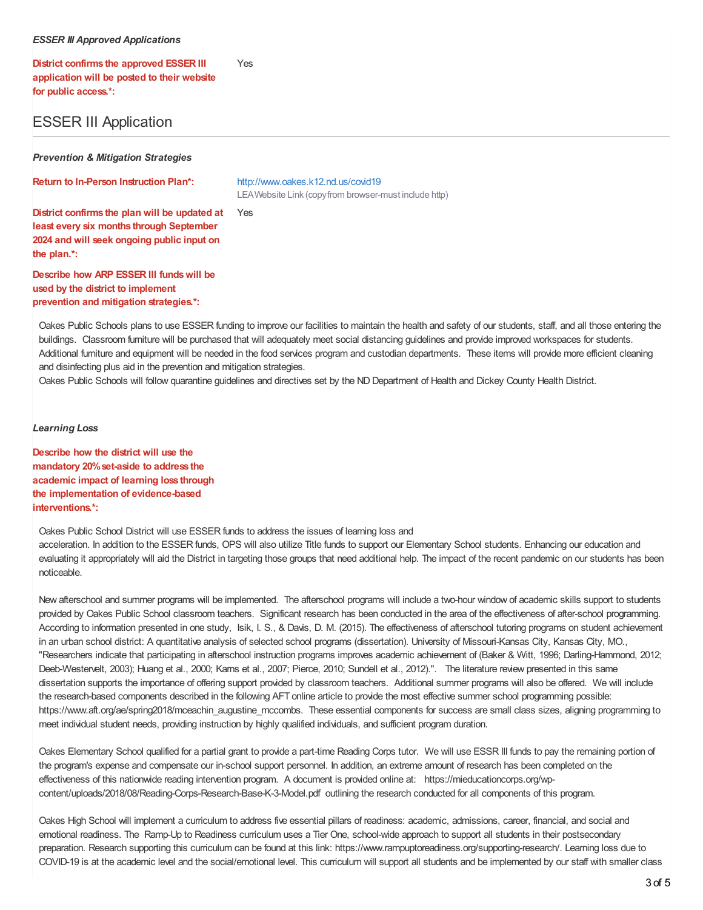#### *ESSER III Approved Applications*

**District confirms the approved ESSER III application will be posted to their website for public access.\*:** Yes

### ESSER III Application

*Prevention & Mitigation Strategies*

**Return to In-Person Instruction Plan\*:** <http://www.oakes.k12.nd.us/covid19>

LEAWebsite Link (copyfrom browser-must include http)

Yes

**District confirms the plan will be updated at least every six months through September 2024 and will seek ongoing public input on the plan.\*:**

**Describe how ARP ESSER III fundswill be used by the district to implement prevention and mitigation strategies.\*:**

Oakes Public Schools plans to use ESSER funding to improve our facilities to maintain the health and safety of our students, staff, and all those entering the buildings. Classroom furniture will be purchased that will adequately meet social distancing guidelines and provide improved workspaces for students. Additional furniture and equipment will be needed in the food services program and custodian departments. These items will provide more efficient cleaning and disinfecting plus aid in the prevention and mitigation strategies.

Oakes Public Schools will follow quarantine guidelines and directives set by the ND Department of Health and Dickey County Health District.

*Learning Loss*

**Describe how the district will use the mandatory 20%set-aside to address the academic impact of learning loss through the implementation of evidence-based interventions.\*:**

Oakes Public School District will use ESSER funds to address the issues of learning loss and acceleration. In addition to the ESSER funds, OPS will also utilize Title funds to support our Elementary School students. Enhancing our education and evaluating it appropriately will aid the District in targeting those groups that need additional help. The impact of the recent pandemic on our students has been noticeable.

New afterschool and summer programs will be implemented. The afterschool programs will include a two-hour window of academic skills support to students provided by Oakes Public School classroom teachers. Significant research has been conducted in the area of the effectiveness of after-school programming. According to information presented in one study, Isik, I. S., & Davis, D. M. (2015). The effectiveness of afterschool tutoring programs on student achievement in an urban school district: A quantitative analysis of selected school programs (dissertation). University of Missouri-Kansas City, Kansas City, MO., "Researchers indicate that participating in afterschool instruction programs improves academic achievement of (Baker & Witt, 1996; Darling-Hammond, 2012; Deeb-Westervelt, 2003); Huang et al., 2000; Karns et al., 2007; Pierce, 2010; Sundell et al., 2012).". The literature review presented in this same dissertation supports the importance of offering support provided by classroom teachers. Additional summer programs will also be offered. We will include the research-based components described in the following AFT online article to provide the most effective summer school programming possible: https://www.aft.org/ae/spring2018/mceachin\_augustine\_mccombs. These essential components for success are small class sizes, aligning programming to meet individual student needs, providing instruction by highly qualified individuals, and sufficient program duration.

Oakes Elementary School qualified for a partial grant to provide a part-time Reading Corps tutor. We will use ESSR III funds to pay the remaining portion of the program's expense and compensate our in-school support personnel. In addition, an extreme amount of research has been completed on the effectiveness of this nationwide reading intervention program. A document is provided online at: https://mieducationcorps.org/wpcontent/uploads/2018/08/Reading-Corps-Research-Base-K-3-Model.pdf outlining the research conducted for all components of this program.

Oakes High School will implement a curriculum to address five essential pillars of readiness: academic, admissions, career, financial, and social and emotional readiness. The Ramp-Up to Readiness curriculum uses a Tier One, school-wide approach to support all students in their postsecondary preparation. Research supporting this curriculum can be found at this link: https://www.rampuptoreadiness.org/supporting-research/. Learning loss due to COVID-19 is at the academic level and the social/emotional level. This curriculum will support all students and be implemented by our staff with smaller class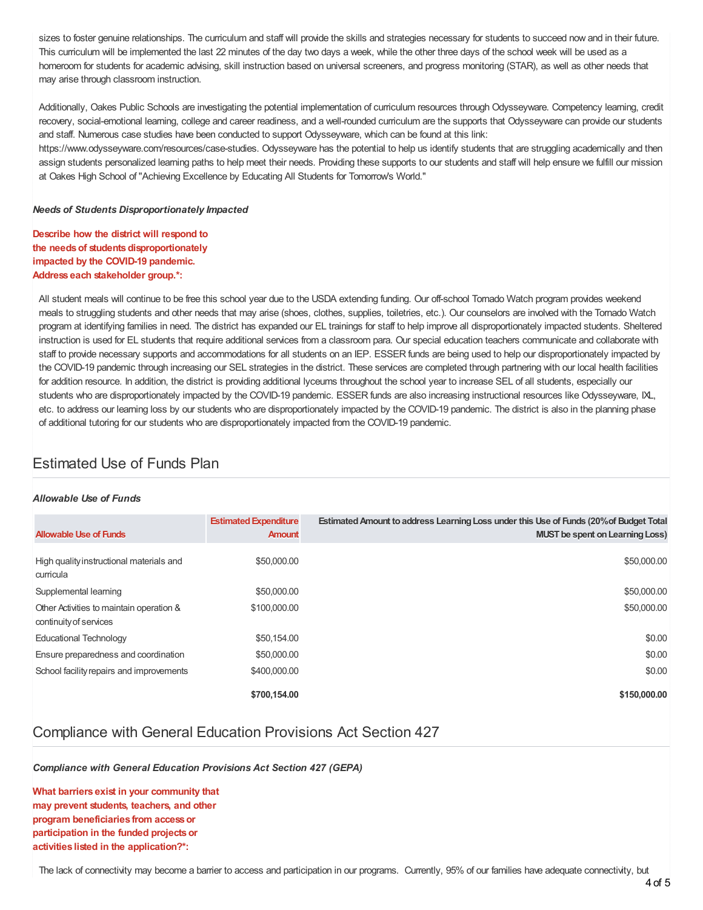sizes to foster genuine relationships. The curriculum and staff will provide the skills and strategies necessary for students to succeed now and in their future. This curriculum will be implemented the last 22 minutes of the day two days a week, while the other three days of the school week will be used as a homeroom for students for academic advising, skill instruction based on universal screeners, and progress monitoring (STAR), as well as other needs that may arise through classroom instruction.

Additionally, Oakes Public Schools are investigating the potential implementation of curriculum resources through Odysseyware. Competency learning, credit recovery, social-emotional learning, college and career readiness, and a well-rounded curriculum are the supports that Odysseyware can provide our students and staff. Numerous case studies have been conducted to support Odysseyware, which can be found at this link:

https://www.odysseyware.com/resources/case-studies. Odysseyware has the potential to help us identify students that are struggling academically and then assign students personalized learning paths to help meet their needs. Providing these supports to our students and staff will help ensure we fulfill our mission at Oakes High School of "Achieving Excellence by Educating All Students for Tomorrow's World."

#### *Needs of Students Disproportionately Impacted*

**Describe how the district will respond to the needsof studentsdisproportionately impacted by the COVID-19 pandemic. Address each stakeholder group.\*:**

All student meals will continue to be free this school year due to the USDA extending funding. Our off-school Tornado Watch program provides weekend meals to struggling students and other needs that may arise (shoes, clothes, supplies, toiletries, etc.). Our counselors are involved with the Tornado Watch program at identifying families in need. The district has expanded our EL trainings for staff to help improve all disproportionately impacted students. Sheltered instruction is used for EL students that require additional services from a classroom para. Our special education teachers communicate and collaborate with staff to provide necessary supports and accommodations for all students on an IEP. ESSER funds are being used to help our disproportionately impacted by the COVID-19 pandemic through increasing our SEL strategies in the district. These services are completed through partnering with our local health facilities for addition resource. In addition, the district is providing additional lyceums throughout the school year to increase SEL of all students, especially our students who are disproportionately impacted by the COVID-19 pandemic. ESSER funds are also increasing instructional resources like Odysseyware, IXL, etc. to address our learning loss by our students who are disproportionately impacted by the COVID-19 pandemic. The district is also in the planning phase of additional tutoring for our students who are disproportionately impacted from the COVID-19 pandemic.

### Estimated Use of Funds Plan

#### *Allowable Use of Funds*

| <b>Allowable Use of Funds</b>                                      | <b>Estimated Expenditure</b><br><b>Amount</b> | <b>Estimated Amount to address Learning Loss under this Use of Funds (20% of Budget Total</b><br><b>MUST</b> be spent on Learning Loss) |
|--------------------------------------------------------------------|-----------------------------------------------|-----------------------------------------------------------------------------------------------------------------------------------------|
| High quality instructional materials and<br>curricula              | \$50,000.00                                   | \$50,000.00                                                                                                                             |
| Supplemental learning                                              | \$50,000.00                                   | \$50,000.00                                                                                                                             |
| Other Activities to maintain operation &<br>continuity of services | \$100,000.00                                  | \$50,000.00                                                                                                                             |
| <b>Educational Technology</b>                                      | \$50,154.00                                   | \$0.00                                                                                                                                  |
| Ensure preparedness and coordination                               | \$50,000.00                                   | \$0.00                                                                                                                                  |
| School facility repairs and improvements                           | \$400,000.00                                  | \$0.00                                                                                                                                  |
|                                                                    | \$700.154.00                                  | \$150,000,00                                                                                                                            |

### Compliance with General Education Provisions Act Section 427

*Compliance with General Education Provisions Act Section 427 (GEPA)*

**What barriers exist in your community that may prevent students, teachers, and other program beneficiaries from accessor participation in the funded projectsor activities listed in the application?\*:**

The lack of connectivity may become a barrier to access and participation in our programs. Currently, 95% of our families have adequate connectivity, but